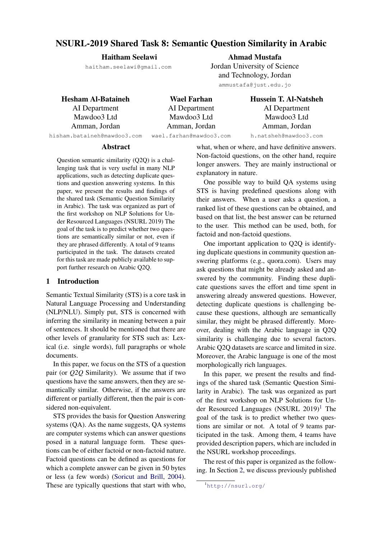# NSURL-2019 Shared Task 8: Semantic Question Similarity in Arabic

#### Haitham Seelawi

haitham.seelawi@gmail.com

Ahmad Mustafa Jordan University of Science and Technology, Jordan ammustafa@just.edu.jo

Hesham Al-Bataineh

AI Department Mawdoo3 Ltd Amman, Jordan hisham.bataineh@mawdoo3.com

Wael Farhan AI Department Mawdoo3 Ltd Amman, Jordan wael.farhan@mawdoo3.com Hussein T. Al-Natsheh AI Department Mawdoo3 Ltd Amman, Jordan h.natsheh@mawdoo3.com

#### Abstract

Question semantic similarity (Q2Q) is a challenging task that is very useful in many NLP applications, such as detecting duplicate questions and question answering systems. In this paper, we present the results and findings of the shared task (Semantic Question Similarity in Arabic). The task was organized as part of the first workshop on NLP Solutions for Under Resourced Languages (NSURL 2019) The goal of the task is to predict whether two questions are semantically similar or not, even if they are phrased differently. A total of 9 teams participated in the task. The datasets created for this task are made publicly available to support further research on Arabic Q2Q.

### 1 Introduction

Semantic Textual Similarity (STS) is a core task in Natural Language Processing and Understanding (NLP/NLU). Simply put, STS is concerned with inferring the similarity in meaning between a pair of sentences. It should be mentioned that there are other levels of granularity for STS such as: Lexical (i.e. single words), full paragraphs or whole documents.

In this paper, we focus on the STS of a question pair (or *Q2Q* Similarity). We assume that if two questions have the same answers, then they are semantically similar. Otherwise, if the answers are different or partially different, then the pair is considered non-equivalent.

STS provides the basis for Question Answering systems (QA). As the name suggests, QA systems are computer systems which can answer questions posed in a natural language form. These questions can be of either factoid or non-factoid nature. Factoid questions can be defined as questions for which a complete answer can be given in 50 bytes or less (a few words) [\(Soricut and Brill,](#page-7-0) [2004\)](#page-7-0). These are typically questions that start with who,

what, when or where, and have definitive answers. Non-factoid questions, on the other hand, require longer answers. They are mainly instructional or explanatory in nature.

One possible way to build QA systems using STS is having predefined questions along with their answers. When a user asks a question, a ranked list of these questions can be obtained, and based on that list, the best answer can be returned to the user. This method can be used, both, for factoid and non-factoid questions.

One important application to Q2Q is identifying duplicate questions in community question answering platforms (e.g., quora.com). Users may ask questions that might be already asked and answered by the community. Finding these duplicate questions saves the effort and time spent in answering already answered questions. However, detecting duplicate questions is challenging because these questions, although are semantically similar, they might be phrased differently. Moreover, dealing with the Arabic language in Q2Q similarity is challenging due to several factors. Arabic Q2Q datasets are scarce and limited in size. Moreover, the Arabic language is one of the most morphologically rich languages.

In this paper, we present the results and findings of the shared task (Semantic Question Similarity in Arabic). The task was organized as part of the first workshop on NLP Solutions for Under Resourced Languages (NSURL  $2019$  $2019$  $2019$ <sup>1</sup> The goal of the task is to predict whether two questions are similar or not. A total of 9 teams participated in the task. Among them, 4 teams have provided description papers, which are included in the NSURL workshop proceedings.

The rest of this paper is organized as the following. In Section [2,](#page-1-0) we discuss previously published

<span id="page-0-0"></span><sup>1</sup><http://nsurl.org/>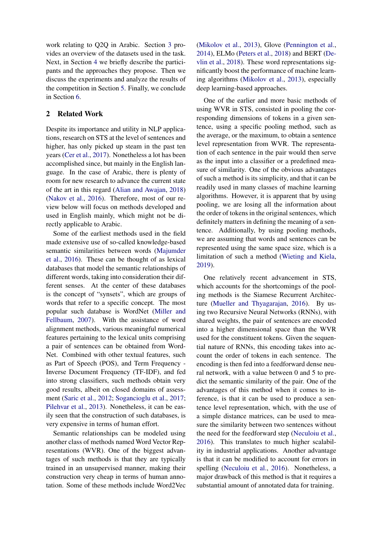work relating to Q2Q in Arabic. Section [3](#page-2-0) provides an overview of the datasets used in the task. Next, in Section [4](#page-3-0) we briefly describe the participants and the approaches they propose. Then we discuss the experiments and analyze the results of the competition in Section [5.](#page-5-0) Finally, we conclude in Section [6.](#page-5-1)

### <span id="page-1-0"></span>2 Related Work

Despite its importance and utility in NLP applications, research on STS at the level of sentences and higher, has only picked up steam in the past ten years [\(Cer et al.,](#page-6-0) [2017\)](#page-6-0). Nonetheless a lot has been accomplished since, but mainly in the English language. In the case of Arabic, there is plenty of room for new research to advance the current state of the art in this regard [\(Alian and Awajan,](#page-6-1) [2018\)](#page-6-1) [\(Nakov et al.,](#page-6-2) [2016\)](#page-6-2). Therefore, most of our review below will focus on methods developed and used in English mainly, which might not be directly applicable to Arabic.

Some of the earliest methods used in the field made extensive use of so-called knowledge-based semantic similarities between words [\(Majumder](#page-6-3) [et al.,](#page-6-3) [2016\)](#page-6-3). These can be thought of as lexical databases that model the semantic relationships of different words, taking into consideration their different senses. At the center of these databases is the concept of "synsets", which are groups of words that refer to a specific concept. The most popular such database is WordNet [\(Miller and](#page-6-4) [Fellbaum,](#page-6-4) [2007\)](#page-6-4). With the assistance of word alignment methods, various meaningful numerical features pertaining to the lexical units comprising a pair of sentences can be obtained from Word-Net. Combined with other textual features, such as Part of Speech (POS), and Term Frequency - Inverse Document Frequency (TF-IDF), and fed into strong classifiers, such methods obtain very good results, albeit on closed domains of assessment [\(Saric et al.,](#page-7-1) [2012;](#page-7-1) [Sogancioglu et al.,](#page-7-2) [2017;](#page-7-2) [Pilehvar et al.,](#page-6-5) [2013\)](#page-6-5). Nonetheless, it can be easily seen that the construction of such databases, is very expensive in terms of human effort.

Semantic relationships can be modeled using another class of methods named Word Vector Representations (WVR). One of the biggest advantages of such methods is that they are typically trained in an unsupervised manner, making their construction very cheap in terms of human annotation. Some of these methods include Word2Vec

[\(Mikolov et al.,](#page-6-6) [2013\)](#page-6-6), Glove [\(Pennington et al.,](#page-6-7) [2014\)](#page-6-7), ELMo [\(Peters et al.,](#page-6-8) [2018\)](#page-6-8) and BERT [\(De](#page-6-9)[vlin et al.,](#page-6-9) [2018\)](#page-6-9). These word representations significantly boost the performance of machine learning algorithms [\(Mikolov et al.,](#page-6-6) [2013\)](#page-6-6), especially deep learning-based approaches.

One of the earlier and more basic methods of using WVR in STS, consisted in pooling the corresponding dimensions of tokens in a given sentence, using a specific pooling method, such as the average, or the maximum, to obtain a sentence level representation from WVR. The representation of each sentence in the pair would then serve as the input into a classifier or a predefined measure of similarity. One of the obvious advantages of such a method is its simplicity, and that it can be readily used in many classes of machine learning algorithms. However, it is apparent that by using pooling, we are losing all the information about the order of tokens in the original sentences, which definitely matters in defining the meaning of a sentence. Additionally, by using pooling methods, we are assuming that words and sentences can be represented using the same space size, which is a limitation of such a method [\(Wieting and Kiela,](#page-7-3) [2019\)](#page-7-3).

One relatively recent advancement in STS, which accounts for the shortcomings of the pooling methods is the Siamese Recurrent Architecture [\(Mueller and Thyagarajan,](#page-6-10) [2016\)](#page-6-10). By using two Recursive Neural Networks (RNNs), with shared weights, the pair of sentences are encoded into a higher dimensional space than the WVR used for the constituent tokens. Given the sequential nature of RNNs, this encoding takes into account the order of tokens in each sentence. The encoding is then fed into a feedforward dense neural network, with a value between 0 and 5 to predict the semantic similarity of the pair. One of the advantages of this method when it comes to inference, is that it can be used to produce a sentence level representation, which, with the use of a simple distance matrices, can be used to measure the similarity between two sentences without the need for the feedforward step [\(Neculoiu et al.,](#page-6-11) [2016\)](#page-6-11). This translates to much higher scalability in industrial applications. Another advantage is that it can be modified to account for errors in spelling [\(Neculoiu et al.,](#page-6-11) [2016\)](#page-6-11). Nonetheless, a major drawback of this method is that it requires a substantial amount of annotated data for training.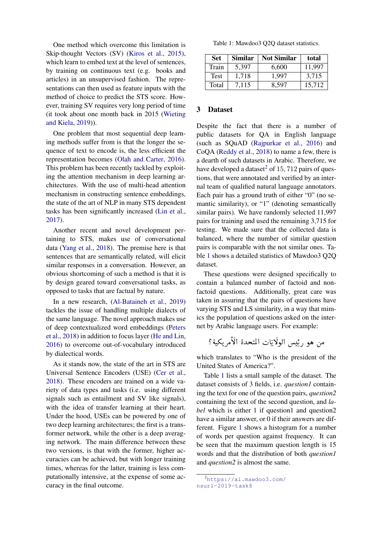One method which overcome this limitation is Skip-thought Vectors (SV) [\(Kiros et al.,](#page-6-12) [2015\)](#page-6-12), which learn to embed text at the level of sentences, by training on continuous text (e.g. books and articles) in an unsupervised fashion. The representations can then used as feature inputs with the method of choice to predict the STS score. However, training SV requires very long period of time (it took about one month back in 2015 [\(Wieting](#page-7-3) [and Kiela,](#page-7-3) [2019\)](#page-7-3)).

One problem that most sequential deep learning methods suffer from is that the longer the sequence of text to encode is, the less efficient the representation becomes [\(Olah and Carter,](#page-6-13) [2016\)](#page-6-13). This problem has been recently tackled by exploiting the attention mechanism in deep learning architectures. With the use of multi-head attention mechanism in constructing sentence embeddings, the state of the art of NLP in many STS dependent tasks has been significantly increased [\(Lin et al.,](#page-6-14) [2017\)](#page-6-14).

Another recent and novel development pertaining to STS, makes use of conversational data [\(Yang et al.,](#page-7-4) [2018\)](#page-7-4). The premise here is that sentences that are semantically related, will elicit similar responses in a conversation. However, an obvious shortcoming of such a method is that it is by design geared toward conversational tasks, as opposed to tasks that are factual by nature.

In a new research, [\(Al-Bataineh et al.,](#page-6-15) [2019\)](#page-6-15) tackles the issue of handling multiple dialects of the same language. The novel approach makes use of deep contextualized word embeddings [\(Peters](#page-6-8) [et al.,](#page-6-8) [2018\)](#page-6-8) in addition to focus layer [\(He and Lin,](#page-6-16) [2016\)](#page-6-16) to overcome out-of-vocabulary introduced by dialectical words.

As it stands now, the state of the art in STS are Universal Sentence Encoders (USE) [\(Cer et al.,](#page-6-17) [2018\)](#page-6-17). These encoders are trained on a wide variety of data types and tasks (i.e. using different signals such as entailment and SV like signals), with the idea of transfer learning at their heart. Under the hood, USEs can be powered by one of two deep learning architectures; the first is a transformer network, while the other is a deep averaging network. The main difference between these two versions, is that with the former, higher accuracies can be achieved, but with longer training times, whereas for the latter, training is less computationally intensive, at the expense of some accuracy in the final outcome.

<span id="page-2-2"></span>Table 1: Mawdoo3 Q2Q dataset statistics.

| <b>Set</b>  | Similar | <b>Not Similar</b> | total  |
|-------------|---------|--------------------|--------|
| Train       | 5.397   | 6,600              | 11.997 |
| <b>Test</b> | 1.718   | 1.997              | 3,715  |
| Total       | 7,115   | 8.597              | 15,712 |

### <span id="page-2-0"></span>3 Dataset

Despite the fact that there is a number of public datasets for QA in English language (such as SQuAD [\(Rajpurkar et al.,](#page-6-18) [2016\)](#page-6-18) and CoQA [\(Reddy et al.,](#page-7-5) [2018\)](#page-7-5) to name a few, there is a dearth of such datasets in Arabic. Therefore, we have developed a dataset<sup>[2](#page-2-1)</sup> of 15, 712 pairs of questions, that were annotated and verified by an internal team of qualified natural language annotators. Each pair has a ground truth of either "0" (no semantic similarity), or "1" (denoting semantically similar pairs). We have randomly selected 11,997 pairs for training and used the remaining 3,715 for testing. We made sure that the collected data is balanced, where the number of similar question pairs is comparable with the not similar ones. Table [1](#page-2-2) shows a detailed statistics of Mawdoo3 Q2Q dataset.

These questions were designed specifically to contain a balanced number of factoid and nonfactoid questions. Additionally, great care was taken in assuring that the pairs of questions have varying STS and LS similarity, in a way that mimics the population of questions asked on the internet by Arabic language users. For example:

$$
\frac{1}{2}
$$
متر هو رئِيس الولات التحدة الأمریکية ?

which translates to "Who is the president of the United States of America?".

Table [1](#page-2-2) lists a small sample of the dataset. The dataset consists of 3 fields, i.e. *question1* containing the text for one of the question pairs, *question2* containing the text of the second question, and *label* which is either 1 if question1 and question2 have a similar answer, or 0 if their answers are different. Figure [1](#page-4-0) shows a histogram for a number of words per question against frequency. It can be seen that the maximum question length is 15 words and that the distribution of both *question1* and *question2* is almost the same.

<span id="page-2-1"></span><sup>2</sup>[https://ai.mawdoo3.com/](https://ai.mawdoo3.com/nsurl-2019-task8) [nsurl-2019-task8](https://ai.mawdoo3.com/nsurl-2019-task8)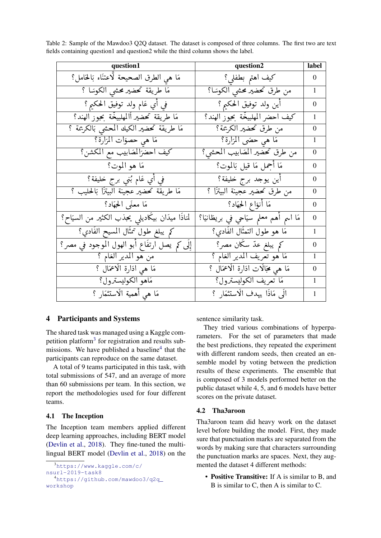| question1                                                    | question2                                  | label            |
|--------------------------------------------------------------|--------------------------------------------|------------------|
| مَا هي الطرق الصحيحة لَّاعتنَاء بَالْحَامل؟                  | كيف اهتم بطفلي؟                            | $\boldsymbol{0}$ |
| مَا طريقة تحضير محشى الكوسَا ؟                               | من طرق تحضير محشى الكوسَا؟                 | $\mathbf{1}$     |
| في أي عَام ولد توفيق الحكيم ؟                                | أين ولد توفيق الحكيم ؟                     | $\overline{0}$   |
| مَا طريقة تحضير أالمهلبيخّة بحبوز الهند؟                     | كيف احضر المهلبيخّة بجور الهند؟            | $\mathbf{1}$     |
| مَا طريقة تحضير الكيك المحشى بَالكريمة ؟                     | من طرق تحضير الكريمة؟                      | $\theta$         |
| مَا هي حصوَات المزارة؟                                       | مَا هي حصَ <sub>ّ</sub> ى المَرَارَة؟      | $\mathbf{1}$     |
| كيف احضرًالمُصابيب مع المكشن؟                                | من طرق تحضير المصّابيب المحشى؟             | $\overline{0}$   |
| مَا هو الموت؟                                                | مَا أَجْمَلَ مَا قَيْلَ بَالْمُوتَ؟        | $\overline{0}$   |
| في أي عَام بُني برج خليفة؟                                   | أين يوجد برج خليفة؟                        | $\theta$         |
| مَا طريقة تحضير عجينة البيتزًا بَالحليب ؟                    | من طرق تحضير عجينة البيتزًا ؟              | $\overline{0}$   |
| مَا معنَى الحِهَاد؟                                          | مَا أنوَاعِ الحِهَادِ؟                     | $\theta$         |
| لمَاذَا ميدَان بيكَاديل <sub>ى</sub> يحذب الكثير من السيَاح؟ | مَا اسمِ أهم معلمِ سَيَاحِي في بريطَانيَا؟ | $\boldsymbol{0}$ |
| كم يبلغ طول تمثّال المسيح الفَادي؟                           | مَا هو طول التمثَّال الفَادي؟              | $\mathbf{1}$     |
| إِلَى كم يصل ارتفَاع أبو الهول الموجود في مصر؟               | کم یبلغ عدّ سکّان مصر؟                     | $\Omega$         |
| من هو المدير العَام ؟                                        | مَا هُوَ تَعْرِيفُ الْمَدِيرِ الْعَامُ ؟   | $\mathbf{1}$     |
| مَا هي ادَارة الاعمَال ؟                                     | مَا هي مُجَالَات ادَارَة الَاعْمَال ؟      | $\overline{0}$   |
| مَاهو الكوليسترول؟                                           | مَا تعريف الكوليسترول؟                     | $\mathbf{1}$     |
| مَا هي أهمية الَاستثمَارِ ؟                                  | الِّي مَاذَا يهدف الَاستثمَارِ ؟           | $\mathbf{1}$     |

Table 2: Sample of the Mawdoo3 Q2Q dataset. The dataset is composed of three columns. The first two are text fields containing question1 and question2 while the third column shows the label.

## <span id="page-3-0"></span>4 Participants and Systems

The shared task was managed using a Kaggle com-petition platform<sup>[3](#page-3-1)</sup> for registration and results sub-missions. We have published a baseline<sup>[4](#page-3-2)</sup> that the participants can reproduce on the same dataset.

A total of 9 teams participated in this task, with total submissions of 547, and an average of more than 60 submissions per team. In this section, we report the methodologies used for four different teams.

#### 4.1 The Inception

The Inception team members applied different deep learning approaches, including BERT model [\(Devlin et al.,](#page-6-9) [2018\)](#page-6-9). They fine-tuned the multilingual BERT model [\(Devlin et al.,](#page-6-9) [2018\)](#page-6-9) on the

```
3https://www.kaggle.com/c/
```
sentence similarity task.

They tried various combinations of hyperparameters. For the set of parameters that made the best predictions, they repeated the experiment with different random seeds, then created an ensemble model by voting between the prediction results of these experiments. The ensemble that is composed of 3 models performed better on the public dataset while 4, 5, and 6 models have better scores on the private dataset.

## 4.2 Tha3aroon

Tha3aroon team did heavy work on the dataset level before building the model. First, they made sure that punctuation marks are separated from the words by making sure that characters surrounding the punctuation marks are spaces. Next, they augmented the dataset 4 different methods:

• Positive Transitive: If A is similar to B, and B is similar to C, then A is similar to C.

[nsurl-2019-task8](https://www.kaggle.com/c/nsurl-2019-task8)

<span id="page-3-2"></span><sup>4</sup>[https://github.com/mawdoo3/q2q\\_](https://github.com/mawdoo3/q2q_workshop) [workshop](https://github.com/mawdoo3/q2q_workshop)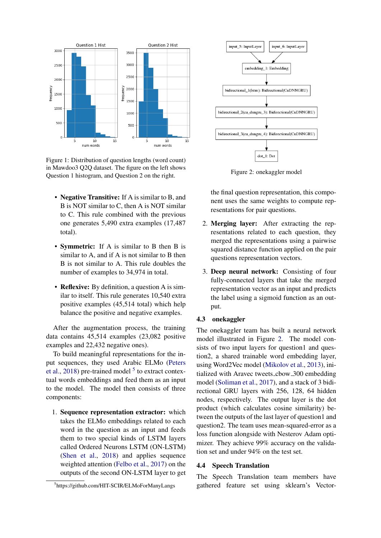<span id="page-4-0"></span>

Figure 1: Distribution of question lengths (word count) in Mawdoo3 Q2Q dataset. The figure on the left shows Question 1 histogram, and Question 2 on the right.

- Negative Transitive: If A is similar to B, and B is NOT similar to C, then A is NOT similar to C. This rule combined with the previous one generates 5,490 extra examples (17,487 total).
- Symmetric: If A is similar to B then B is similar to A, and if A is not similar to B then B is not similar to A. This rule doubles the number of examples to 34,974 in total.
- Reflexive: By definition, a question A is similar to itself. This rule generates 10,540 extra positive examples (45,514 total) which help balance the positive and negative examples.

After the augmentation process, the training data contains 45,514 examples (23,082 positive examples and 22,432 negative ones).

To build meaningful representations for the input sequences, they used Arabic ELMo [\(Peters](#page-6-8) [et al.,](#page-6-8) [2018\)](#page-6-8) pre-trained model  $5$  to extract contextual words embeddings and feed them as an input to the model. The model then consists of three components:

1. Sequence representation extractor: which takes the ELMo embeddings related to each word in the question as an input and feeds them to two special kinds of LSTM layers called Ordered Neurons LSTM (ON-LSTM) [\(Shen et al.,](#page-7-6) [2018\)](#page-7-6) and applies sequence weighted attention [\(Felbo et al.,](#page-6-19) [2017\)](#page-6-19) on the outputs of the second ON-LSTM layer to get

<span id="page-4-2"></span>

Figure 2: onekaggler model

the final question representation, this component uses the same weights to compute representations for pair questions.

- 2. Merging layer: After extracting the representations related to each question, they merged the representations using a pairwise squared distance function applied on the pair questions representation vectors.
- 3. Deep neural network: Consisting of four fully-connected layers that take the merged representation vector as an input and predicts the label using a sigmoid function as an output.

#### 4.3 onekaggler

The onekaggler team has built a neural network model illustrated in Figure [2.](#page-4-2) The model consists of two input layers for question1 and question2, a shared trainable word embedding layer, using Word2Vec model [\(Mikolov et al.,](#page-6-6) [2013\)](#page-6-6), initialized with Aravec tweets cbow 300 embedding model [\(Soliman et al.,](#page-7-7) [2017\)](#page-7-7), and a stack of 3 bidirectional GRU layers with 256, 128, 64 hidden nodes, respectively. The output layer is the dot product (which calculates cosine similarity) between the outputs of the last layer of question1 and question2. The team uses mean-squared-error as a loss function alongside with Nesterov Adam optimizer. They achieve 99% accuracy on the validation set and under 94% on the test set.

#### 4.4 Speech Translation

The Speech Translation team members have gathered feature set using sklearn's Vector-

<span id="page-4-1"></span><sup>5</sup> https://github.com/HIT-SCIR/ELMoForManyLangs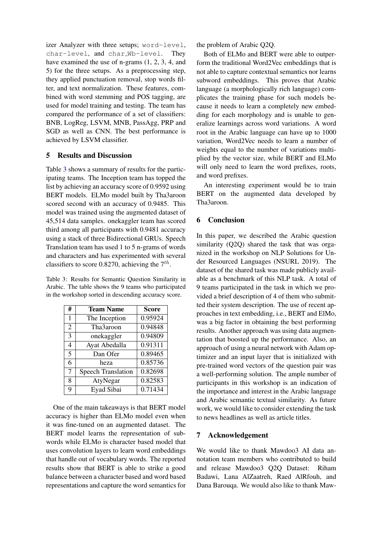izer Analyzer with three setups; word-level, char-level, and char Wb-level. They have examined the use of n-grams (1, 2, 3, 4, and 5) for the three setups. As a preprocessing step, they applied punctuation removal, stop words filter, and text normalization. These features, combined with word stemming and POS tagging, are used for model training and testing. The team has compared the performance of a set of classifiers: BNB, LogReg, LSVM, MNB, PassAgg, PRP and SGD as well as CNN. The best performance is achieved by LSVM classifier.

## <span id="page-5-0"></span>5 Results and Discussion

Table [3](#page-5-2) shows a summary of results for the participating teams. The Inception team has topped the list by achieving an accuracy score of 0.9592 using BERT models. ELMo model built by Tha3aroon scored second with an accuracy of 0.9485. This model was trained using the augmented dataset of 45,514 data samples. onekaggler team has scored third among all participants with 0.9481 accuracy using a stack of three Bidirectional GRUs. Speech Translation team has used 1 to 5 n-grams of words and characters and has experimented with several classifiers to score 0.8270, achieving the  $7^{th}$ .

<span id="page-5-2"></span>Table 3: Results for Semantic Question Similarity in Arabic. The table shows the 9 teams who participated in the workshop sorted in descending accuracy score.

| #              | <b>Team Name</b>          | <b>Score</b> |
|----------------|---------------------------|--------------|
| 1              | The Inception             | 0.95924      |
| $\overline{2}$ | Tha3aroon                 | 0.94848      |
| 3              | onekaggler                | 0.94809      |
| 4              | Ayat Abedalla             | 0.91311      |
| 5              | Dan Ofer                  | 0.89465      |
| 6              | heza                      | 0.85736      |
| $\overline{7}$ | <b>Speech Translation</b> | 0.82698      |
| 8              | AtyNegar                  | 0.82583      |
| 9              | Eyad Sibai                | 0.71434      |

One of the main takeaways is that BERT model accuracy is higher than ELMo model even when it was fine-tuned on an augmented dataset. The BERT model learns the representation of subwords while ELMo is character based model that uses convolution layers to learn word embeddings that handle out of vocabulary words. The reported results show that BERT is able to strike a good balance between a character based and word based representations and capture the word semantics for the problem of Arabic Q2Q.

Both of ELMo and BERT were able to outperform the traditional Word2Vec embeddings that is not able to capture contextual semantics nor learns subword embeddings. This proves that Arabic language (a morphologically rich language) complicates the training phase for such models because it needs to learn a completely new embedding for each morphology and is unable to generalize learnings across word variations. A word root in the Arabic language can have up to 1000 variation, Word2Vec needs to learn a number of weights equal to the number of variations multiplied by the vector size, while BERT and ELMo will only need to learn the word prefixes, roots, and word prefixes.

An interesting experiment would be to train BERT on the augmented data developed by Tha3aroon.

# <span id="page-5-1"></span>6 Conclusion

In this paper, we described the Arabic question similarity (Q2Q) shared the task that was organized in the workshop on NLP Solutions for Under Resourced Languages (NSURL 2019). The dataset of the shared task was made publicly available as a benchmark of this NLP task. A total of 9 teams participated in the task in which we provided a brief description of 4 of them who submitted their system description. The use of recent approaches in text embedding, i.e., BERT and ElMo, was a big factor in obtaining the best performing results. Another approach was using data augmentation that boosted up the performance. Also, an approach of using a neural network with Adam optimizer and an input layer that is initialized with pre-trained word vectors of the question pair was a well-performing solution. The ample number of participants in this workshop is an indication of the importance and interest in the Arabic language and Arabic semantic textual similarity. As future work, we would like to consider extending the task to news headlines as well as article titles.

## 7 Acknowledgement

We would like to thank Mawdoo3 AI data annotation team members who contributed to build and release Mawdoo3 Q2Q Dataset: Riham Badawi, Lana AlZaatreh, Raed AlRfouh, and Dana Barouqa. We would also like to thank Maw-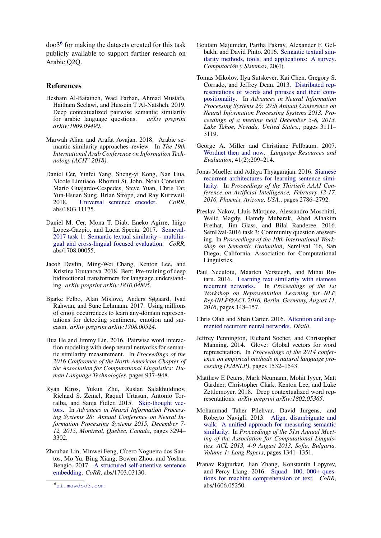doo3[6](#page-6-20) for making the datasets created for this task publicly available to support further research on Arabic Q2Q.

### References

- <span id="page-6-15"></span>Hesham Al-Bataineh, Wael Farhan, Ahmad Mustafa, Haitham Seelawi, and Hussein T Al-Natsheh. 2019. Deep contextualized pairwise semantic similarity for arabic language questions. *arXiv preprint arXiv:1909.09490*.
- <span id="page-6-1"></span>Marwah Alian and Arafat Awajan. 2018. Arabic semantic similarity approaches–review. In *The 19th International Arab Conference on Information Technology (ACIT' 2018)*.
- <span id="page-6-17"></span>Daniel Cer, Yinfei Yang, Sheng-yi Kong, Nan Hua, Nicole Limtiaco, Rhomni St. John, Noah Constant, Mario Guajardo-Cespedes, Steve Yuan, Chris Tar, Yun-Hsuan Sung, Brian Strope, and Ray Kurzweil. 2018. [Universal sentence encoder.](http://arxiv.org/abs/1803.11175) *CoRR*, abs/1803.11175.
- <span id="page-6-0"></span>Daniel M. Cer, Mona T. Diab, Eneko Agirre, Iñigo Lopez-Gazpio, and Lucia Specia. 2017. [Semeval-](http://arxiv.org/abs/1708.00055)[2017 task 1: Semantic textual similarity - multilin](http://arxiv.org/abs/1708.00055)[gual and cross-lingual focused evaluation.](http://arxiv.org/abs/1708.00055) *CoRR*, abs/1708.00055.
- <span id="page-6-9"></span>Jacob Devlin, Ming-Wei Chang, Kenton Lee, and Kristina Toutanova. 2018. Bert: Pre-training of deep bidirectional transformers for language understanding. *arXiv preprint arXiv:1810.04805*.
- <span id="page-6-19"></span>Bjarke Felbo, Alan Mislove, Anders Søgaard, Iyad Rahwan, and Sune Lehmann. 2017. Using millions of emoji occurrences to learn any-domain representations for detecting sentiment, emotion and sarcasm. *arXiv preprint arXiv:1708.00524*.
- <span id="page-6-16"></span>Hua He and Jimmy Lin. 2016. Pairwise word interaction modeling with deep neural networks for semantic similarity measurement. In *Proceedings of the 2016 Conference of the North American Chapter of the Association for Computational Linguistics: Human Language Technologies*, pages 937–948.
- <span id="page-6-12"></span>Ryan Kiros, Yukun Zhu, Ruslan Salakhutdinov, Richard S. Zemel, Raquel Urtasun, Antonio Torralba, and Sanja Fidler. 2015. [Skip-thought vec](http://papers.nips.cc/paper/5950-skip-thought-vectors)[tors.](http://papers.nips.cc/paper/5950-skip-thought-vectors) In *Advances in Neural Information Processing Systems 28: Annual Conference on Neural Information Processing Systems 2015, December 7- 12, 2015, Montreal, Quebec, Canada*, pages 3294– 3302.
- <span id="page-6-14"></span>Zhouhan Lin, Minwei Feng, Cícero Nogueira dos Santos, Mo Yu, Bing Xiang, Bowen Zhou, and Yoshua Bengio. 2017. [A structured self-attentive sentence](http://arxiv.org/abs/1703.03130) [embedding.](http://arxiv.org/abs/1703.03130) *CoRR*, abs/1703.03130.
- <span id="page-6-3"></span>Goutam Majumder, Partha Pakray, Alexander F. Gelbukh, and David Pinto. 2016. [Semantic textual sim](http://www.cys.cic.ipn.mx/ojs/index.php/CyS/article/view/2506)[ilarity methods, tools, and applications: A survey.](http://www.cys.cic.ipn.mx/ojs/index.php/CyS/article/view/2506) *Computación y Sistemas*, 20(4).
- <span id="page-6-6"></span>Tomas Mikolov, Ilya Sutskever, Kai Chen, Gregory S. Corrado, and Jeffrey Dean. 2013. [Distributed rep](http://papers.nips.cc/paper/5021-distributed-representations-of-words-and-phrases-and-their-compositionality)[resentations of words and phrases and their com](http://papers.nips.cc/paper/5021-distributed-representations-of-words-and-phrases-and-their-compositionality)[positionality.](http://papers.nips.cc/paper/5021-distributed-representations-of-words-and-phrases-and-their-compositionality) In *Advances in Neural Information Processing Systems 26: 27th Annual Conference on Neural Information Processing Systems 2013. Proceedings of a meeting held December 5-8, 2013, Lake Tahoe, Nevada, United States.*, pages 3111– 3119.
- <span id="page-6-4"></span>George A. Miller and Christiane Fellbaum. 2007. [Wordnet then and now.](https://doi.org/10.1007/s10579-007-9044-6) *Language Resources and Evaluation*, 41(2):209–214.
- <span id="page-6-10"></span>Jonas Mueller and Aditya Thyagarajan. 2016. [Siamese](http://www.aaai.org/ocs/index.php/AAAI/AAAI16/paper/view/12195) [recurrent architectures for learning sentence simi](http://www.aaai.org/ocs/index.php/AAAI/AAAI16/paper/view/12195)[larity.](http://www.aaai.org/ocs/index.php/AAAI/AAAI16/paper/view/12195) In *Proceedings of the Thirtieth AAAI Conference on Artificial Intelligence, February 12-17, 2016, Phoenix, Arizona, USA.*, pages 2786–2792.
- <span id="page-6-2"></span>Preslav Nakov, Lluís Màrquez, Alessandro Moschitti, Walid Magdy, Hamdy Mubarak, Abed Alhakim Freihat, Jim Glass, and Bilal Randeree. 2016. SemEval-2016 task 3: Community question answering. In *Proceedings of the 10th International Workshop on Semantic Evaluation*, SemEval '16, San Diego, California. Association for Computational Linguistics.
- <span id="page-6-11"></span>Paul Neculoiu, Maarten Versteegh, and Mihai Rotaru. 2016. [Learning text similarity with siamese](https://doi.org/10.18653/v1/W16-1617) [recurrent networks.](https://doi.org/10.18653/v1/W16-1617) In *Proceedings of the 1st Workshop on Representation Learning for NLP, Rep4NLP@ACL 2016, Berlin, Germany, August 11, 2016*, pages 148–157.
- <span id="page-6-13"></span>Chris Olah and Shan Carter. 2016. [Attention and aug](https://doi.org/10.23915/distill.00001)[mented recurrent neural networks.](https://doi.org/10.23915/distill.00001) *Distill*.
- <span id="page-6-7"></span>Jeffrey Pennington, Richard Socher, and Christopher Manning. 2014. Glove: Global vectors for word representation. In *Proceedings of the 2014 conference on empirical methods in natural language processing (EMNLP)*, pages 1532–1543.
- <span id="page-6-8"></span>Matthew E Peters, Mark Neumann, Mohit Iyyer, Matt Gardner, Christopher Clark, Kenton Lee, and Luke Zettlemoyer. 2018. Deep contextualized word representations. *arXiv preprint arXiv:1802.05365*.
- <span id="page-6-5"></span>Mohammad Taher Pilehvar, David Jurgens, and Roberto Navigli. 2013. [Align, disambiguate and](http://aclweb.org/anthology/P/P13/P13-1132.pdf) [walk: A unified approach for measuring semantic](http://aclweb.org/anthology/P/P13/P13-1132.pdf) [similarity.](http://aclweb.org/anthology/P/P13/P13-1132.pdf) In *Proceedings of the 51st Annual Meeting of the Association for Computational Linguistics, ACL 2013, 4-9 August 2013, Sofia, Bulgaria, Volume 1: Long Papers*, pages 1341–1351.
- <span id="page-6-18"></span>Pranav Rajpurkar, Jian Zhang, Konstantin Lopyrev, and Percy Liang. 2016. [Squad: 100, 000+ ques](http://arxiv.org/abs/1606.05250)[tions for machine comprehension of text.](http://arxiv.org/abs/1606.05250) *CoRR*, abs/1606.05250.

<span id="page-6-20"></span><sup>6</sup><ai.mawdoo3.com>